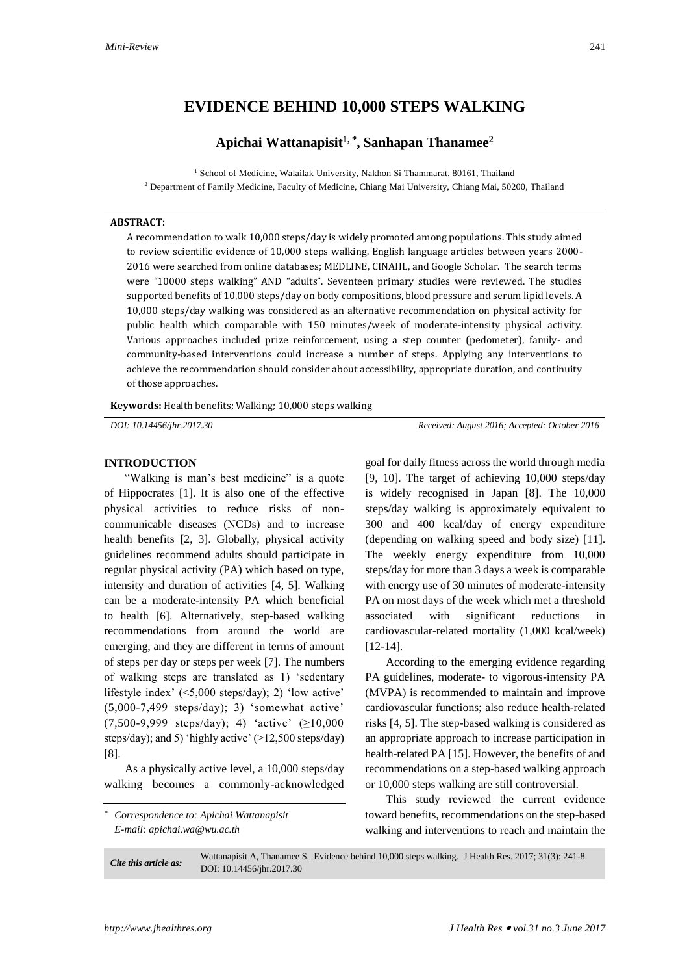# **EVIDENCE BEHIND 10,000 STEPS WALKING**

# **Apichai Wattanapisit1, \* , Sanhapan Thanamee<sup>2</sup>**

<sup>1</sup> School of Medicine, Walailak University, Nakhon Si Thammarat, 80161, Thailand <sup>2</sup> Department of Family Medicine, Faculty of Medicine, Chiang Mai University, Chiang Mai, 50200, Thailand

# **ABSTRACT:**

A recommendation to walk 10,000 steps/day is widely promoted among populations. This study aimed to review scientific evidence of 10,000 steps walking. English language articles between years 2000- 2016 were searched from online databases; MEDLINE, CINAHL, and Google Scholar. The search terms were "10000 steps walking" AND "adults". Seventeen primary studies were reviewed. The studies supported benefits of 10,000 steps/day on body compositions, blood pressure and serum lipid levels. A 10,000 steps/day walking was considered as an alternative recommendation on physical activity for public health which comparable with 150 minutes/week of moderate-intensity physical activity. Various approaches included prize reinforcement, using a step counter (pedometer), family- and community-based interventions could increase a number of steps. Applying any interventions to achieve the recommendation should consider about accessibility, appropriate duration, and continuity of those approaches.

**Keywords:** Health benefits; Walking; 10,000 steps walking

*DOI: 10.14456/jhr.2017.30 Received: August 2016; Accepted: October 2016*

#### **INTRODUCTION**

"Walking is man's best medicine" is a quote of Hippocrates [1]. It is also one of the effective physical activities to reduce risks of noncommunicable diseases (NCDs) and to increase health benefits [2, 3]. Globally, physical activity guidelines recommend adults should participate in regular physical activity (PA) which based on type, intensity and duration of activities [4, 5]. Walking can be a moderate-intensity PA which beneficial to health [6]. Alternatively, step-based walking recommendations from around the world are emerging, and they are different in terms of amount of steps per day or steps per week [7]. The numbers of walking steps are translated as 1) 'sedentary lifestyle index' (<5,000 steps/day); 2) 'low active' (5,000-7,499 steps/day); 3) 'somewhat active' (7,500-9,999 steps/day); 4) 'active' (≥10,000 steps/day); and 5) 'highly active' (>12,500 steps/day) [8].

As a physically active level, a 10,000 steps/day walking becomes a commonly-acknowledged

*\* Correspondence to: Apichai Wattanapisit E-mail: apichai.wa@wu.ac.th*

goal for daily fitness across the world through media [9, 10]. The target of achieving 10,000 steps/day is widely recognised in Japan [8]. The 10,000 steps/day walking is approximately equivalent to 300 and 400 kcal/day of energy expenditure (depending on walking speed and body size) [11]. The weekly energy expenditure from 10,000 steps/day for more than 3 days a week is comparable with energy use of 30 minutes of moderate-intensity PA on most days of the week which met a threshold associated with significant reductions in cardiovascular-related mortality (1,000 kcal/week) [12-14].

According to the emerging evidence regarding PA guidelines, moderate- to vigorous-intensity PA (MVPA) is recommended to maintain and improve cardiovascular functions; also reduce health-related risks [4, 5]. The step-based walking is considered as an appropriate approach to increase participation in health-related PA [15]. However, the benefits of and recommendations on a step-based walking approach or 10,000 steps walking are still controversial.

This study reviewed the current evidence toward benefits, recommendations on the step-based walking and interventions to reach and maintain the

*Cite this article as:* Wattanapisit A, Thanamee S. Evidence behind 10,000 steps walking. J Health Res. 2017; 31(3): 241-8. DOI: 10.14456/jhr.2017.30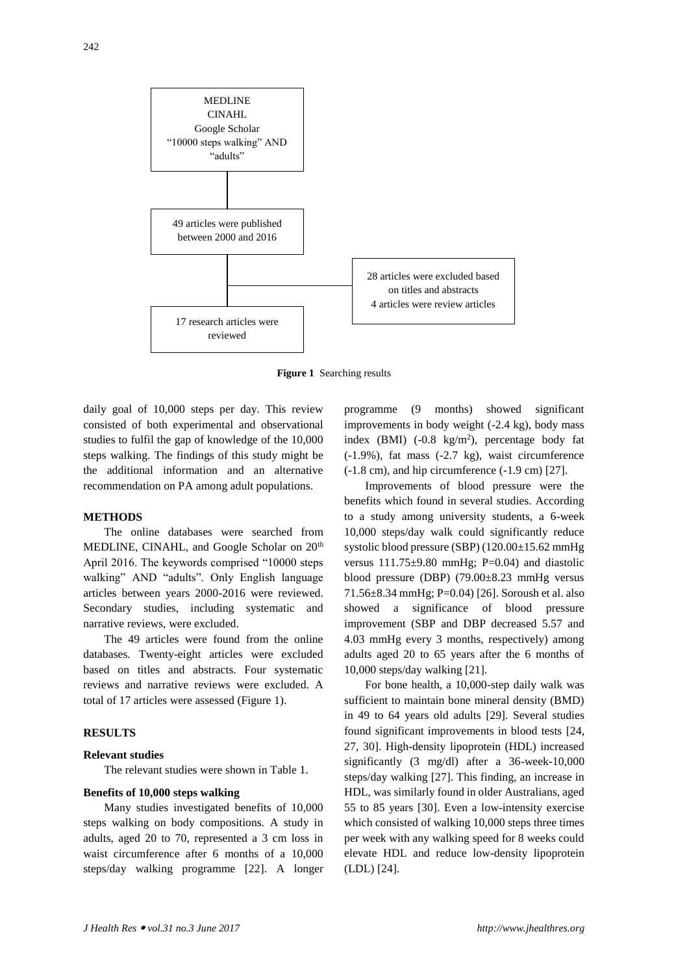

**Figure 1** Searching results

daily goal of 10,000 steps per day. This review consisted of both experimental and observational studies to fulfil the gap of knowledge of the 10,000 steps walking. The findings of this study might be the additional information and an alternative recommendation on PA among adult populations.

### **METHODS**

The online databases were searched from MEDLINE, CINAHL, and Google Scholar on  $20<sup>th</sup>$ April 2016. The keywords comprised "10000 steps walking" AND "adults". Only English language articles between years 2000-2016 were reviewed. Secondary studies, including systematic and narrative reviews, were excluded.

The 49 articles were found from the online databases. Twenty-eight articles were excluded based on titles and abstracts. Four systematic reviews and narrative reviews were excluded. A total of 17 articles were assessed (Figure 1).

### **RESULTS**

### **Relevant studies**

The relevant studies were shown in Table 1.

#### **Benefits of 10,000 steps walking**

Many studies investigated benefits of 10,000 steps walking on body compositions. A study in adults, aged 20 to 70, represented a 3 cm loss in waist circumference after 6 months of a 10,000 steps/day walking programme [22]. A longer

programme (9 months) showed significant improvements in body weight (-2.4 kg), body mass index (BMI) (-0.8 kg/m<sup>2</sup>), percentage body fat (-1.9%), fat mass (-2.7 kg), waist circumference (-1.8 cm), and hip circumference (-1.9 cm) [27].

Improvements of blood pressure were the benefits which found in several studies. According to a study among university students, a 6-week 10,000 steps/day walk could significantly reduce systolic blood pressure (SBP) (120.00±15.62 mmHg versus  $111.75\pm9.80$  mmHg; P=0.04) and diastolic blood pressure (DBP) (79.00±8.23 mmHg versus 71.56±8.34 mmHg; P=0.04) [26]. Soroush et al. also showed a significance of blood pressure improvement (SBP and DBP decreased 5.57 and 4.03 mmHg every 3 months, respectively) among adults aged 20 to 65 years after the 6 months of 10,000 steps/day walking [21].

For bone health, a 10,000-step daily walk was sufficient to maintain bone mineral density (BMD) in 49 to 64 years old adults [29]. Several studies found significant improvements in blood tests [24, 27, 30]. High-density lipoprotein (HDL) increased significantly (3 mg/dl) after a 36-week-10,000 steps/day walking [27]. This finding, an increase in HDL, was similarly found in older Australians, aged 55 to 85 years [30]. Even a low-intensity exercise which consisted of walking 10,000 steps three times per week with any walking speed for 8 weeks could elevate HDL and reduce low-density lipoprotein (LDL) [24].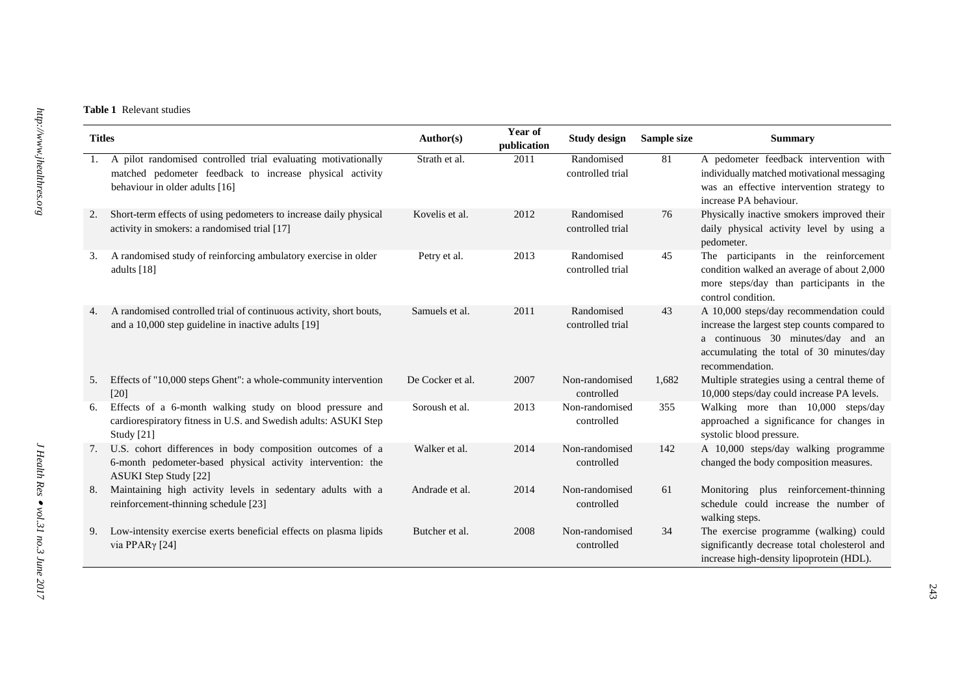# **Table 1** Relevant studies

| <b>Titles</b> |                                                                                                                                                             | Author(s)        | Year of<br>publication | <b>Study design</b>            | Sample size | <b>Summary</b>                                                                                                                                                                               |
|---------------|-------------------------------------------------------------------------------------------------------------------------------------------------------------|------------------|------------------------|--------------------------------|-------------|----------------------------------------------------------------------------------------------------------------------------------------------------------------------------------------------|
|               | A pilot randomised controlled trial evaluating motivationally<br>matched pedometer feedback to increase physical activity<br>behaviour in older adults [16] | Strath et al.    | 2011                   | Randomised<br>controlled trial | 81          | A pedometer feedback intervention with<br>individually matched motivational messaging<br>was an effective intervention strategy to<br>increase PA behaviour.                                 |
| 2.            | Short-term effects of using pedometers to increase daily physical<br>activity in smokers: a randomised trial [17]                                           | Kovelis et al.   | 2012                   | Randomised<br>controlled trial | 76          | Physically inactive smokers improved their<br>daily physical activity level by using a<br>pedometer.                                                                                         |
| 3.            | A randomised study of reinforcing ambulatory exercise in older<br>adults [18]                                                                               | Petry et al.     | 2013                   | Randomised<br>controlled trial | 45          | The participants in the reinforcement<br>condition walked an average of about 2,000<br>more steps/day than participants in the<br>control condition.                                         |
| 4.            | A randomised controlled trial of continuous activity, short bouts,<br>and a 10,000 step guideline in inactive adults [19]                                   | Samuels et al.   | 2011                   | Randomised<br>controlled trial | 43          | A 10,000 steps/day recommendation could<br>increase the largest step counts compared to<br>a continuous 30 minutes/day and an<br>accumulating the total of 30 minutes/day<br>recommendation. |
| 5.            | Effects of "10,000 steps Ghent": a whole-community intervention<br>$[20]$                                                                                   | De Cocker et al. | 2007                   | Non-randomised<br>controlled   | 1,682       | Multiple strategies using a central theme of<br>10,000 steps/day could increase PA levels.                                                                                                   |
| 6.            | Effects of a 6-month walking study on blood pressure and<br>cardiorespiratory fitness in U.S. and Swedish adults: ASUKI Step<br>Study $[21]$                | Soroush et al.   | 2013                   | Non-randomised<br>controlled   | 355         | Walking more than 10,000 steps/day<br>approached a significance for changes in<br>systolic blood pressure.                                                                                   |
| 7.            | U.S. cohort differences in body composition outcomes of a<br>6-month pedometer-based physical activity intervention: the<br><b>ASUKI Step Study [22]</b>    | Walker et al.    | 2014                   | Non-randomised<br>controlled   | 142         | A 10,000 steps/day walking programme<br>changed the body composition measures.                                                                                                               |
| 8.            | Maintaining high activity levels in sedentary adults with a<br>reinforcement-thinning schedule [23]                                                         | Andrade et al.   | 2014                   | Non-randomised<br>controlled   | 61          | Monitoring plus reinforcement-thinning<br>schedule could increase the number of<br>walking steps.                                                                                            |
| 9.            | Low-intensity exercise exerts beneficial effects on plasma lipids<br>via PPARγ[24]                                                                          | Butcher et al.   | 2008                   | Non-randomised<br>controlled   | 34          | The exercise programme (walking) could<br>significantly decrease total cholesterol and<br>increase high-density lipoprotein (HDL).                                                           |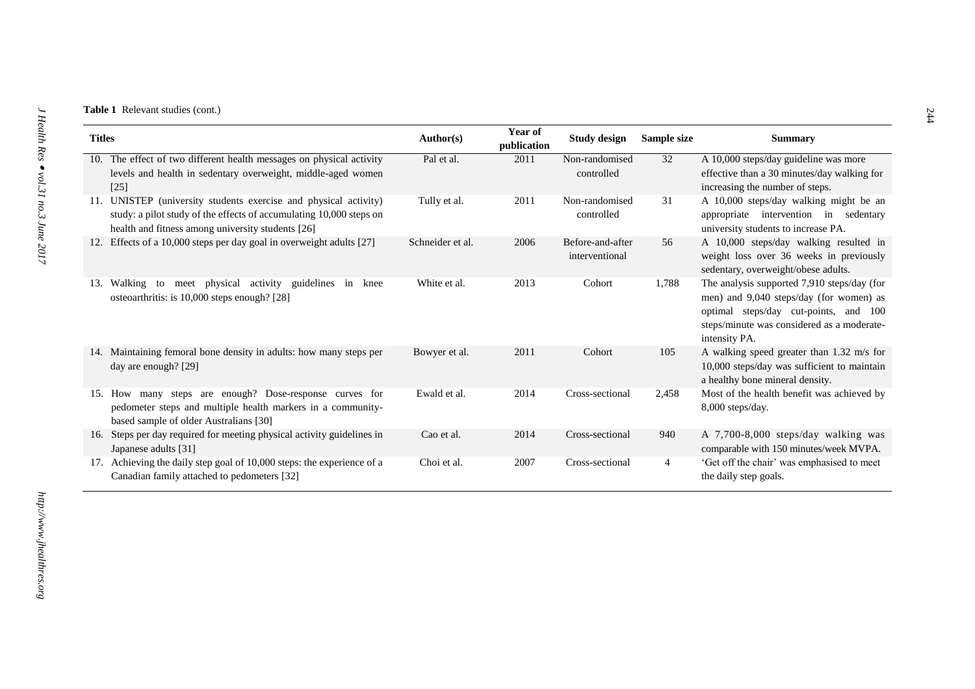|  | Table 1 Relevant studies (cont.) |  |  |
|--|----------------------------------|--|--|
|--|----------------------------------|--|--|

|               |                                                                                                                                                                                          |                  | Year of     |                                    |             |                                                                                                                                                                                                |
|---------------|------------------------------------------------------------------------------------------------------------------------------------------------------------------------------------------|------------------|-------------|------------------------------------|-------------|------------------------------------------------------------------------------------------------------------------------------------------------------------------------------------------------|
| <b>Titles</b> |                                                                                                                                                                                          | Author(s)        | publication | <b>Study design</b>                | Sample size | <b>Summary</b>                                                                                                                                                                                 |
|               | 10. The effect of two different health messages on physical activity<br>levels and health in sedentary overweight, middle-aged women<br>$[25]$                                           | Pal et al.       | 2011        | Non-randomised<br>controlled       | 32          | A 10,000 steps/day guideline was more<br>effective than a 30 minutes/day walking for<br>increasing the number of steps.                                                                        |
| 11.           | UNISTEP (university students exercise and physical activity)<br>study: a pilot study of the effects of accumulating 10,000 steps on<br>health and fitness among university students [26] | Tully et al.     | 2011        | Non-randomised<br>controlled       | 31          | A 10,000 steps/day walking might be an<br>appropriate intervention in sedentary<br>university students to increase PA.                                                                         |
| 12.           | Effects of a 10,000 steps per day goal in overweight adults [27]                                                                                                                         | Schneider et al. | 2006        | Before-and-after<br>interventional | 56          | A 10,000 steps/day walking resulted in<br>weight loss over 36 weeks in previously<br>sedentary, overweight/obese adults.                                                                       |
| 13.           | Walking to meet physical activity guidelines in knee<br>osteoarthritis: is 10,000 steps enough? [28]                                                                                     | White et al.     | 2013        | Cohort                             | 1,788       | The analysis supported 7,910 steps/day (for<br>men) and 9,040 steps/day (for women) as<br>optimal steps/day cut-points, and 100<br>steps/minute was considered as a moderate-<br>intensity PA. |
|               | 14. Maintaining femoral bone density in adults: how many steps per<br>day are enough? [29]                                                                                               | Bowyer et al.    | 2011        | Cohort                             | 105         | A walking speed greater than 1.32 m/s for<br>10,000 steps/day was sufficient to maintain<br>a healthy bone mineral density.                                                                    |
| 15.           | How many steps are enough? Dose-response curves for<br>pedometer steps and multiple health markers in a community-<br>based sample of older Australians [30]                             | Ewald et al.     | 2014        | Cross-sectional                    | 2,458       | Most of the health benefit was achieved by<br>$8,000$ steps/day.                                                                                                                               |
| 16.           | Steps per day required for meeting physical activity guidelines in<br>Japanese adults [31]                                                                                               | Cao et al.       | 2014        | Cross-sectional                    | 940         | A 7,700-8,000 steps/day walking was<br>comparable with 150 minutes/week MVPA.                                                                                                                  |
|               | 17. Achieving the daily step goal of 10,000 steps: the experience of a<br>Canadian family attached to pedometers [32]                                                                    | Choi et al.      | 2007        | Cross-sectional                    | 4           | 'Get off the chair' was emphasised to meet<br>the daily step goals.                                                                                                                            |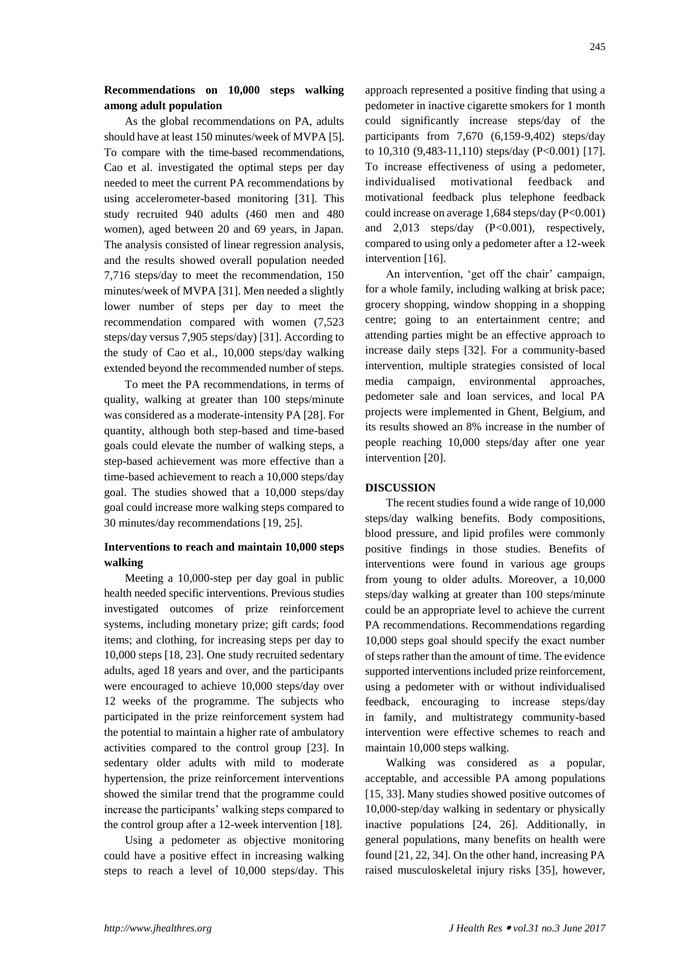# **Recommendations on 10,000 steps walking among adult population**

As the global recommendations on PA, adults should have at least 150 minutes/week of MVPA [5]. To compare with the time-based recommendations, Cao et al. investigated the optimal steps per day needed to meet the current PA recommendations by using accelerometer-based monitoring [31]. This study recruited 940 adults (460 men and 480 women), aged between 20 and 69 years, in Japan. The analysis consisted of linear regression analysis, and the results showed overall population needed 7,716 steps/day to meet the recommendation, 150 minutes/week of MVPA [31]. Men needed a slightly lower number of steps per day to meet the recommendation compared with women (7,523 steps/day versus 7,905 steps/day) [31]. According to the study of Cao et al., 10,000 steps/day walking extended beyond the recommended number of steps.

To meet the PA recommendations, in terms of quality, walking at greater than 100 steps/minute was considered as a moderate-intensity PA [28]. For quantity, although both step-based and time-based goals could elevate the number of walking steps, a step-based achievement was more effective than a time-based achievement to reach a 10,000 steps/day goal. The studies showed that a 10,000 steps/day goal could increase more walking steps compared to 30 minutes/day recommendations [19, 25].

# **Interventions to reach and maintain 10,000 steps walking**

Meeting a 10,000-step per day goal in public health needed specific interventions. Previous studies investigated outcomes of prize reinforcement systems, including monetary prize; gift cards; food items; and clothing, for increasing steps per day to 10,000 steps [18, 23]. One study recruited sedentary adults, aged 18 years and over, and the participants were encouraged to achieve 10,000 steps/day over 12 weeks of the programme. The subjects who participated in the prize reinforcement system had the potential to maintain a higher rate of ambulatory activities compared to the control group [23]. In sedentary older adults with mild to moderate hypertension, the prize reinforcement interventions showed the similar trend that the programme could increase the participants' walking steps compared to the control group after a 12-week intervention [18].

Using a pedometer as objective monitoring could have a positive effect in increasing walking steps to reach a level of 10,000 steps/day. This

approach represented a positive finding that using a pedometer in inactive cigarette smokers for 1 month could significantly increase steps/day of the participants from 7,670 (6,159-9,402) steps/day to 10,310 (9,483-11,110) steps/day (P<0.001) [17]. To increase effectiveness of using a pedometer, individualised motivational feedback and motivational feedback plus telephone feedback could increase on average 1,684 steps/day (P<0.001) and 2,013 steps/day (P<0.001), respectively, compared to using only a pedometer after a 12-week intervention [16].

An intervention, 'get off the chair' campaign, for a whole family, including walking at brisk pace; grocery shopping, window shopping in a shopping centre; going to an entertainment centre; and attending parties might be an effective approach to increase daily steps [32]. For a community-based intervention, multiple strategies consisted of local media campaign, environmental approaches, pedometer sale and loan services, and local PA projects were implemented in Ghent, Belgium, and its results showed an 8% increase in the number of people reaching 10,000 steps/day after one year intervention [20].

## **DISCUSSION**

The recent studies found a wide range of 10,000 steps/day walking benefits. Body compositions, blood pressure, and lipid profiles were commonly positive findings in those studies. Benefits of interventions were found in various age groups from young to older adults. Moreover, a 10,000 steps/day walking at greater than 100 steps/minute could be an appropriate level to achieve the current PA recommendations. Recommendations regarding 10,000 steps goal should specify the exact number of steps rather than the amount of time. The evidence supported interventions included prize reinforcement, using a pedometer with or without individualised feedback, encouraging to increase steps/day in family, and multistrategy community-based intervention were effective schemes to reach and maintain 10,000 steps walking.

Walking was considered as a popular, acceptable, and accessible PA among populations [15, 33]. Many studies showed positive outcomes of 10,000-step/day walking in sedentary or physically inactive populations [24, 26]. Additionally, in general populations, many benefits on health were found [21, 22, 34]. On the other hand, increasing PA raised musculoskeletal injury risks [35], however,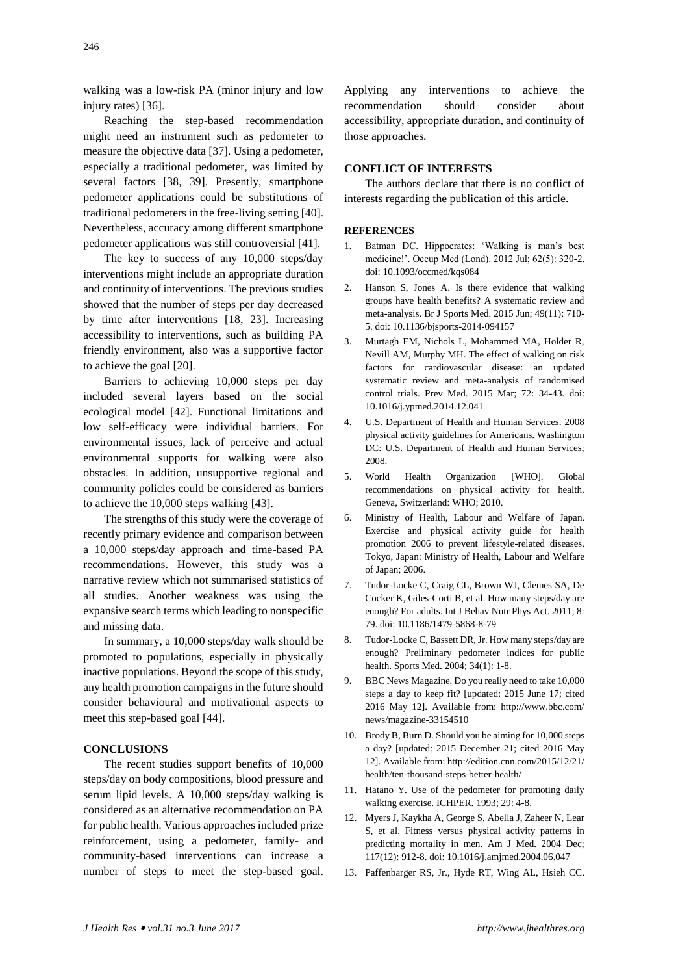walking was a low-risk PA (minor injury and low injury rates) [36].

Reaching the step-based recommendation might need an instrument such as pedometer to measure the objective data [37]. Using a pedometer, especially a traditional pedometer, was limited by several factors [38, 39]. Presently, smartphone pedometer applications could be substitutions of traditional pedometers in the free-living setting [40]. Nevertheless, accuracy among different smartphone pedometer applications was still controversial [41].

The key to success of any 10,000 steps/day interventions might include an appropriate duration and continuity of interventions. The previous studies showed that the number of steps per day decreased by time after interventions [18, 23]. Increasing accessibility to interventions, such as building PA friendly environment, also was a supportive factor to achieve the goal [20].

Barriers to achieving 10,000 steps per day included several layers based on the social ecological model [42]. Functional limitations and low self-efficacy were individual barriers. For environmental issues, lack of perceive and actual environmental supports for walking were also obstacles. In addition, unsupportive regional and community policies could be considered as barriers to achieve the 10,000 steps walking [43].

The strengths of this study were the coverage of recently primary evidence and comparison between a 10,000 steps/day approach and time-based PA recommendations. However, this study was a narrative review which not summarised statistics of all studies. Another weakness was using the expansive search terms which leading to nonspecific and missing data.

In summary, a 10,000 steps/day walk should be promoted to populations, especially in physically inactive populations. Beyond the scope of this study, any health promotion campaigns in the future should consider behavioural and motivational aspects to meet this step-based goal [44].

# **CONCLUSIONS**

The recent studies support benefits of 10,000 steps/day on body compositions, blood pressure and serum lipid levels. A 10,000 steps/day walking is considered as an alternative recommendation on PA for public health. Various approaches included prize reinforcement, using a pedometer, family- and community-based interventions can increase a number of steps to meet the step-based goal.

Applying any interventions to achieve the recommendation should consider about accessibility, appropriate duration, and continuity of those approaches.

### **CONFLICT OF INTERESTS**

The authors declare that there is no conflict of interests regarding the publication of this article.

#### **REFERENCES**

- 1. Batman DC. Hippocrates: 'Walking is man's best medicine!'. Occup Med (Lond). 2012 Jul; 62(5): 320-2. doi: 10.1093/occmed/kqs084
- 2. Hanson S, Jones A. Is there evidence that walking groups have health benefits? A systematic review and meta-analysis. Br J Sports Med. 2015 Jun; 49(11): 710- 5. doi: 10.1136/bjsports-2014-094157
- 3. Murtagh EM, Nichols L, Mohammed MA, Holder R, Nevill AM, Murphy MH. The effect of walking on risk factors for cardiovascular disease: an updated systematic review and meta-analysis of randomised control trials. Prev Med. 2015 Mar; 72: 34-43. doi: 10.1016/j.ypmed.2014.12.041
- 4. U.S. Department of Health and Human Services. 2008 physical activity guidelines for Americans. Washington DC: U.S. Department of Health and Human Services; 2008.
- 5. World Health Organization [WHO]. Global recommendations on physical activity for health. Geneva, Switzerland: WHO; 2010.
- 6. Ministry of Health, Labour and Welfare of Japan. Exercise and physical activity guide for health promotion 2006 to prevent lifestyle-related diseases. Tokyo, Japan: Ministry of Health, Labour and Welfare of Japan; 2006.
- 7. Tudor-Locke C, Craig CL, Brown WJ, Clemes SA, De Cocker K, Giles-Corti B, et al. How many steps/day are enough? For adults. Int J Behav Nutr Phys Act. 2011; 8: 79. doi: 10.1186/1479-5868-8-79
- 8. Tudor-Locke C, Bassett DR, Jr. How many steps/day are enough? Preliminary pedometer indices for public health. Sports Med. 2004; 34(1): 1-8.
- 9. BBC News Magazine. Do you really need to take 10,000 steps a day to keep fit? [updated: 2015 June 17; cited 2016 May 12]. Available from: http://www.bbc.com/ news/magazine-33154510
- 10. Brody B, Burn D. Should you be aiming for 10,000 steps a day? [updated: 2015 December 21; cited 2016 May 12]. Available from: http://edition.cnn.com/2015/12/21/ health/ten-thousand-steps-better-health/
- 11. Hatano Y. Use of the pedometer for promoting daily walking exercise. ICHPER. 1993; 29: 4-8.
- 12. Myers J, Kaykha A, George S, Abella J, Zaheer N, Lear S, et al. Fitness versus physical activity patterns in predicting mortality in men. Am J Med. 2004 Dec; 117(12): 912-8. doi: 10.1016/j.amjmed.2004.06.047
- 13. Paffenbarger RS, Jr., Hyde RT, Wing AL, Hsieh CC.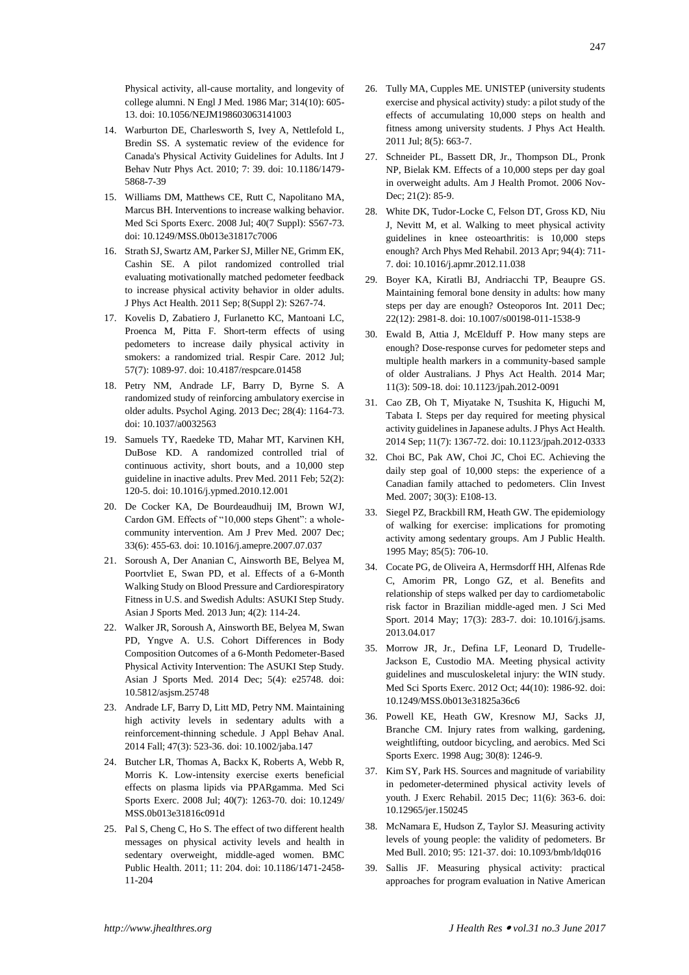247

Physical activity, all-cause mortality, and longevity of college alumni. N Engl J Med. 1986 Mar; 314(10): 605- 13. doi: 10.1056/NEJM198603063141003

- 14. Warburton DE, Charlesworth S, Ivey A, Nettlefold L, Bredin SS. A systematic review of the evidence for Canada's Physical Activity Guidelines for Adults. Int J Behav Nutr Phys Act. 2010; 7: 39. doi: 10.1186/1479- 5868-7-39
- 15. Williams DM, Matthews CE, Rutt C, Napolitano MA, Marcus BH. Interventions to increase walking behavior. Med Sci Sports Exerc. 2008 Jul; 40(7 Suppl): S567-73. doi: 10.1249/MSS.0b013e31817c7006
- 16. Strath SJ, Swartz AM, Parker SJ, Miller NE, Grimm EK, Cashin SE. A pilot randomized controlled trial evaluating motivationally matched pedometer feedback to increase physical activity behavior in older adults. J Phys Act Health. 2011 Sep; 8(Suppl 2): S267-74.
- 17. Kovelis D, Zabatiero J, Furlanetto KC, Mantoani LC, Proenca M, Pitta F. Short-term effects of using pedometers to increase daily physical activity in smokers: a randomized trial. Respir Care. 2012 Jul; 57(7): 1089-97. doi: 10.4187/respcare.01458
- 18. Petry NM, Andrade LF, Barry D, Byrne S. A randomized study of reinforcing ambulatory exercise in older adults. Psychol Aging. 2013 Dec; 28(4): 1164-73. doi: 10.1037/a0032563
- 19. Samuels TY, Raedeke TD, Mahar MT, Karvinen KH, DuBose KD. A randomized controlled trial of continuous activity, short bouts, and a 10,000 step guideline in inactive adults. Prev Med. 2011 Feb; 52(2): 120-5. doi: 10.1016/j.ypmed.2010.12.001
- 20. De Cocker KA, De Bourdeaudhuij IM, Brown WJ, Cardon GM. Effects of "10,000 steps Ghent": a wholecommunity intervention. Am J Prev Med. 2007 Dec; 33(6): 455-63. doi: 10.1016/j.amepre.2007.07.037
- 21. Soroush A, Der Ananian C, Ainsworth BE, Belyea M, Poortvliet E, Swan PD, et al. Effects of a 6-Month Walking Study on Blood Pressure and Cardiorespiratory Fitness in U.S. and Swedish Adults: ASUKI Step Study. Asian J Sports Med. 2013 Jun; 4(2): 114-24.
- 22. Walker JR, Soroush A, Ainsworth BE, Belyea M, Swan PD, Yngve A. U.S. Cohort Differences in Body Composition Outcomes of a 6-Month Pedometer-Based Physical Activity Intervention: The ASUKI Step Study. Asian J Sports Med. 2014 Dec; 5(4): e25748. doi: 10.5812/asjsm.25748
- 23. Andrade LF, Barry D, Litt MD, Petry NM. Maintaining high activity levels in sedentary adults with a reinforcement-thinning schedule. J Appl Behav Anal. 2014 Fall; 47(3): 523-36. doi: 10.1002/jaba.147
- 24. Butcher LR, Thomas A, Backx K, Roberts A, Webb R, Morris K. Low-intensity exercise exerts beneficial effects on plasma lipids via PPARgamma. Med Sci Sports Exerc. 2008 Jul; 40(7): 1263-70. doi: 10.1249/ MSS.0b013e31816c091d
- 25. Pal S, Cheng C, Ho S. The effect of two different health messages on physical activity levels and health in sedentary overweight, middle-aged women. BMC Public Health. 2011; 11: 204. doi: 10.1186/1471-2458- 11-204
- 26. Tully MA, Cupples ME. UNISTEP (university students exercise and physical activity) study: a pilot study of the effects of accumulating 10,000 steps on health and fitness among university students. J Phys Act Health. 2011 Jul; 8(5): 663-7.
- 27. Schneider PL, Bassett DR, Jr., Thompson DL, Pronk NP, Bielak KM. Effects of a 10,000 steps per day goal in overweight adults. Am J Health Promot. 2006 Nov-Dec; 21(2): 85-9.
- 28. White DK, Tudor-Locke C, Felson DT, Gross KD, Niu J, Nevitt M, et al. Walking to meet physical activity guidelines in knee osteoarthritis: is 10,000 steps enough? Arch Phys Med Rehabil. 2013 Apr; 94(4): 711- 7. doi: 10.1016/j.apmr.2012.11.038
- 29. Boyer KA, Kiratli BJ, Andriacchi TP, Beaupre GS. Maintaining femoral bone density in adults: how many steps per day are enough? Osteoporos Int. 2011 Dec; 22(12): 2981-8. doi: 10.1007/s00198-011-1538-9
- 30. Ewald B, Attia J, McElduff P. How many steps are enough? Dose-response curves for pedometer steps and multiple health markers in a community-based sample of older Australians. J Phys Act Health. 2014 Mar; 11(3): 509-18. doi: 10.1123/jpah.2012-0091
- 31. Cao ZB, Oh T, Miyatake N, Tsushita K, Higuchi M, Tabata I. Steps per day required for meeting physical activity guidelines in Japanese adults. J Phys Act Health. 2014 Sep; 11(7): 1367-72. doi: 10.1123/jpah.2012-0333
- 32. Choi BC, Pak AW, Choi JC, Choi EC. Achieving the daily step goal of 10,000 steps: the experience of a Canadian family attached to pedometers. Clin Invest Med. 2007; 30(3): E108-13.
- 33. Siegel PZ, Brackbill RM, Heath GW. The epidemiology of walking for exercise: implications for promoting activity among sedentary groups. Am J Public Health. 1995 May; 85(5): 706-10.
- 34. Cocate PG, de Oliveira A, Hermsdorff HH, Alfenas Rde C, Amorim PR, Longo GZ, et al. Benefits and relationship of steps walked per day to cardiometabolic risk factor in Brazilian middle-aged men. J Sci Med Sport. 2014 May; 17(3): 283-7. doi: 10.1016/j.jsams. 2013.04.017
- 35. Morrow JR, Jr., Defina LF, Leonard D, Trudelle-Jackson E, Custodio MA. Meeting physical activity guidelines and musculoskeletal injury: the WIN study. Med Sci Sports Exerc. 2012 Oct; 44(10): 1986-92. doi: 10.1249/MSS.0b013e31825a36c6
- 36. Powell KE, Heath GW, Kresnow MJ, Sacks JJ, Branche CM. Injury rates from walking, gardening, weightlifting, outdoor bicycling, and aerobics. Med Sci Sports Exerc. 1998 Aug; 30(8): 1246-9.
- 37. Kim SY, Park HS. Sources and magnitude of variability in pedometer-determined physical activity levels of youth. J Exerc Rehabil. 2015 Dec; 11(6): 363-6. doi: 10.12965/jer.150245
- 38. McNamara E, Hudson Z, Taylor SJ. Measuring activity levels of young people: the validity of pedometers. Br Med Bull. 2010; 95: 121-37. doi: 10.1093/bmb/ldq016
- 39. Sallis JF. Measuring physical activity: practical approaches for program evaluation in Native American